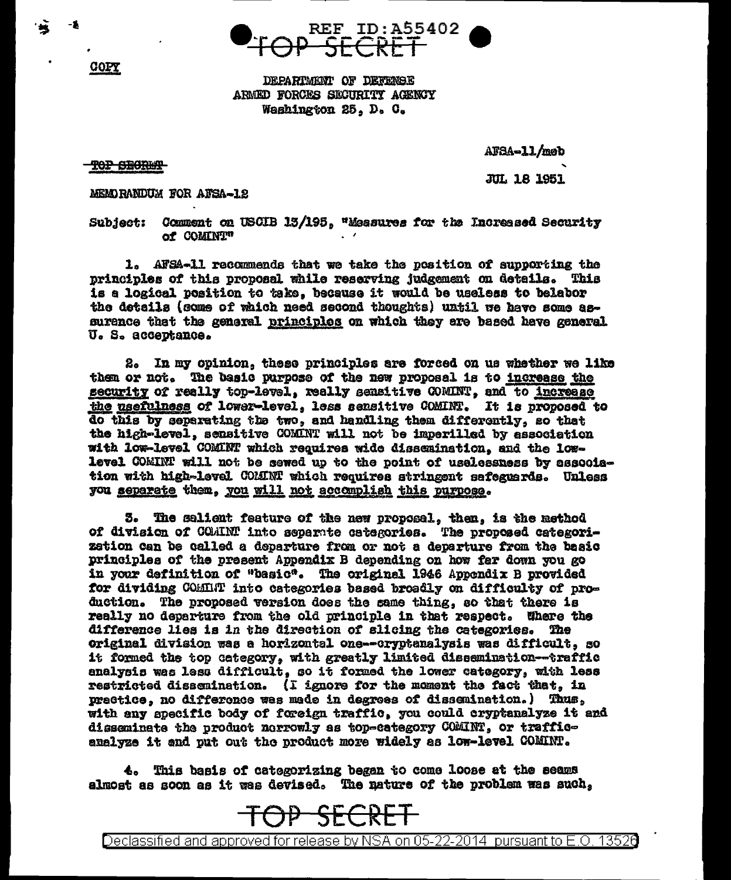

DEPARTMENT OF DEFENSE ARMED FORCES SECURITY AGENCY Washington 25, D. C.

TOP SECRET

COPY

AFSA-11/meb

**JUL 18 1951** 

MEMORANDUM FOR AFSA-12

Subject: Comment on USCIB 13/195, "Measures for the Increased Security of COMINT"

1. AFSA-11 recommends that we take the position of supporting the principles of this proposal while reserving judgement on details. This is a logical position to take, because it would be useless to belabor the details (some of which need second thoughts) until we have some assurence that the general principles on which they are based have general U. S. acceptance.

2. In my opinion, these principles are forced on us whether we like them or not. The basic purpose of the new proposal is to increase the security of really top-level, really sensitive COMINT, and to increase the usefulness of lower-level, less sensitive COMINT. It is proposed to do this by separating the two, and handling them differently, so that the high-level, sensitive COMINT will not be imperilled by association with low-level COMINT which requires wide dissemination, and the lowlevel COMINT will not be sewed up to the point of uselessness by association with high-level COMMNT which requires stringent sefeggerds. Unless you separate them, you will not accomplish this purpose.

3. The salient feature of the new proposal, then, is the method of division of COAINT into separate categories. The proposed categorization can be called a departure from or not a departure from the basic principles of the present Appendix B depending on how far down you go in your definition of "basic". The original 1946 Appendix B provided for dividing COMMT into categories based broadly on difficulty of production. The proposed version does the same thing, so that there is really no departure from the old principle in that respect. Where the difference lies is in the direction of slicing the categories. The original division was a horizontal one--oryptanalysis was difficult, so it formed the top category, with greatly limited dissemination--traffic analysis was less difficult, so it formed the lower category, with less restricted dissemination. (I ignore for the moment the fact that, in prectice, no difference was made in degrees of dissemination.) Thus, with any specific body of foreign traffic, you could cryptanalyze it and disseminate the product nerrowly as top-category COMINT, or trafficanalyze it and put out the product more widely as low-level COMINT.

4. This basis of categorizing began to come loose at the seams almost as soon as it was devised. The nature of the problem was such,



Declassified and approved for release by NSA on 05-22-2014 pursuant to E.O. 13526